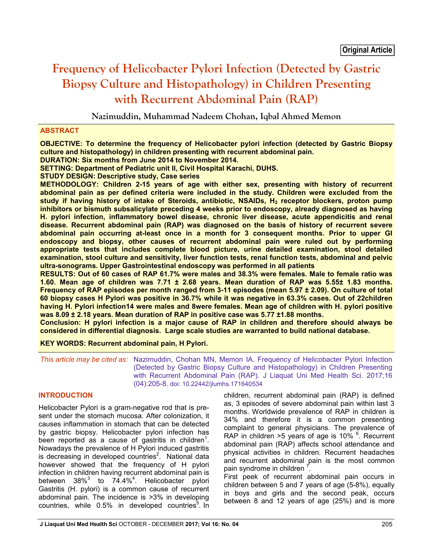# **Frequency of Helicobacter Pylori Infection (Detected by Gastric Biopsy Culture and Histopathology) in Children Presenting with Recurrent Abdominal Pain (RAP)**

**Nazimuddin, Muhammad Nadeem Chohan, Iqbal Ahmed Memon**

# **ABSTRACT**

**OBJECTIVE: To determine the frequency of Helicobacter pylori infection (detected by Gastric Biopsy culture and histopathology) in children presenting with recurrent abdominal pain.**

**DURATION: Six months from June 2014 to November 2014.**

**SETTING: Department of Pediatric unit II, Civil Hospital Karachi, DUHS.**

**STUDY DESIGN: Descriptive study, Case series**

**METHODOLOGY: Children 2-15 years of age with either sex, presenting with history of recurrent abdominal pain as per defined criteria were included in the study. Children were excluded from the**  study if having history of intake of Steroids, antibiotic, NSAIDs, H<sub>2</sub> receptor blockers, proton pump **inhibitors or bismuth subsalicylate preceding 4 weeks prior to endoscopy, already diagnosed as having H. pylori infection, inflammatory bowel disease, chronic liver disease, acute appendicitis and renal disease. Recurrent abdominal pain (RAP) was diagnosed on the basis of history of recurrent severe abdominal pain occurring at-least once in a month for 3 consequent months. Prior to upper GI endoscopy and biopsy, other causes of recurrent abdominal pain were ruled out by performing appropriate tests that includes complete blood picture, urine detailed examination, stool detailed examination, stool culture and sensitivity, liver function tests, renal function tests, abdominal and pelvic ultra-sonograms. Upper Gastrointestinal endoscopy was performed in all patients** 

**RESULTS: Out of 60 cases of RAP 61.7% were males and 38.3% were females. Male to female ratio was 1.60. Mean age of children was 7.71 ± 2.68 years. Mean duration of RAP was 5.55± 1.83 months. Frequency of RAP episodes per month ranged from 3-11 episodes (mean 5.97 ± 2.09). On culture of total 60 biopsy cases H Pylori was positive in 36.7% while it was negative in 63.3% cases. Out of 22children having H. Pylori infection14 were males and 8were females. Mean age of children with H. pylori positive was 8.09 ± 2.18 years. Mean duration of RAP in positive case was 5.77 ±1.88 months.**

**Conclusion: H pylori infection is a major cause of RAP in children and therefore should always be considered in differential diagnosis. Large scale studies are warranted to build national database.** 

**KEY WORDS: Recurrent abdominal pain, H Pylori.**

*This article may be cited as:* Nazimuddin, Chohan MN, Memon IA. Frequency of Helicobacter Pylori Infection (Detected by Gastric Biopsy Culture and Histopathology) in Children Presenting with Recurrent Abdominal Pain (RAP). J Liaguat Uni Med Health Sci. 2017;16 (04):205-8. doi: 10.22442/jlumhs.171640534

# **INTRODUCTION**

Helicobacter Pylori is a gram-negative rod that is present under the stomach mucosa. After colonization, it causes inflammation in stomach that can be detected by gastric biopsy. Helicobacter pylori infection has been reported as a cause of gastritis in children<sup>1</sup>. Nowadays the prevalence of H Pylori induced gastritis is decreasing in developed countries<sup>2</sup>. National data however showed that the frequency of H pylori infection in children having recurrent abdominal pain is between 38%<sup>3</sup> to 74.4%<sup>4</sup>. Helicobacter pylori Gastritis (H. pylori) is a common cause of recurrent abdominal pain. The incidence is >3% in developing countries, while 0.5% in developed countries<sup>5</sup>. In children, recurrent abdominal pain (RAP) is defined as, 3 episodes of severe abdominal pain within last 3 months. Worldwide prevalence of RAP in children is 34% and therefore it is a common presenting complaint to general physicians. The prevalence of RAP in children  $>5$  years of age is 10%  $6$ . Recurrent abdominal pain (RAP) affects school attendance and physical activities in children. Recurrent headaches and recurrent abdominal pain is the most common pain syndrome in children  $<sup>7</sup>$ .</sup>

First peek of recurrent abdominal pain occurs in children between 5 and 7 years of age (5-8%), equally in boys and girls and the second peak, occurs between 8 and 12 years of age (25%) and is more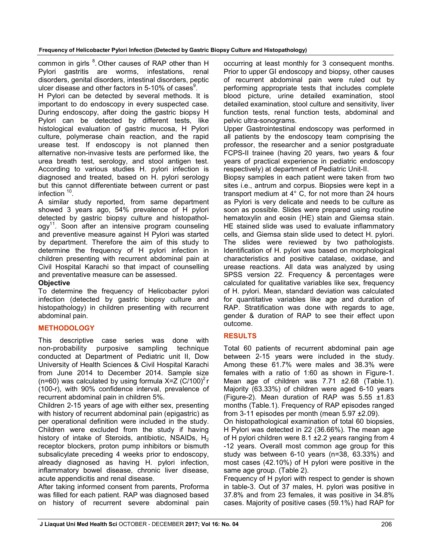common in girls <sup>8</sup>. Other causes of RAP other than H Pylori gastritis are worms, infestations, renal disorders, genital disorders, intestinal disorders, peptic ulcer disease and other factors in 5-10% of cases $^9$ .

H Pylori can be detected by several methods. It is important to do endoscopy in every suspected case. During endoscopy, after doing the gastric biopsy H Pylori can be detected by different tests, like histological evaluation of gastric mucosa, H Pylori culture, polymerase chain reaction, and the rapid urease test. If endoscopy is not planned then alternative non-invasive tests are performed like, the urea breath test, serology, and stool antigen test. According to various studies H. pylori infection is diagnosed and treated, based on H. pylori serology but this cannot differentiate between current or past infection  $10$ .

A similar study reported, from same department showed 3 years ago, 54% prevalence of H pylori detected by gastric biopsy culture and histopathol $qqq^{11}$ . Soon after an intensive program counseling and preventive measure against H Pylori was started by department. Therefore the aim of this study to determine the frequency of H pylori infection in children presenting with recurrent abdominal pain at Civil Hospital Karachi so that impact of counselling and preventative measure can be assessed.

# **Objective**

To determine the frequency of Helicobacter pylori infection (detected by gastric biopsy culture and histopathology) in children presenting with recurrent abdominal pain.

# **METHODOLOGY**

This descriptive case series was done with non-probability purposive sampling technique conducted at Department of Pediatric unit II, Dow University of Health Sciences & Civil Hospital Karachi from June 2014 to December 2014. Sample size (n=60) was calculated by using formula  $X=Z$  (C/100)<sup>2</sup> r (100-r), with 90% confidence interval, prevalence of recurrent abdominal pain in children 5%.

Children 2-15 years of age with either sex, presenting with history of recurrent abdominal pain (epigastric) as per operational definition were included in the study. Children were excluded from the study if having history of intake of Steroids, antibiotic, NSAIDs,  $H_2$ receptor blockers, proton pump inhibitors or bismuth subsalicylate preceding 4 weeks prior to endoscopy, already diagnosed as having H. pylori infection, inflammatory bowel disease, chronic liver disease, acute appendicitis and renal disease.

After taking informed consent from parents, Proforma was filled for each patient. RAP was diagnosed based on history of recurrent severe abdominal pain occurring at least monthly for 3 consequent months. Prior to upper GI endoscopy and biopsy, other causes of recurrent abdominal pain were ruled out by performing appropriate tests that includes complete blood picture, urine detailed examination, stool detailed examination, stool culture and sensitivity, liver function tests, renal function tests, abdominal and pelvic ultra-sonograms.

Upper Gastrointestinal endoscopy was performed in all patients by the endoscopy team comprising the professor, the researcher and a senior postgraduate FCPS-II trainee (having 20 years, two years & four years of practical experience in pediatric endoscopy respectively) at department of Pediatric Unit-II.

Biopsy samples in each patient were taken from two sites i.e., antrum and corpus. Biopsies were kept in a transport medium at 4° C, for not more than 24 hours as Pylori is very delicate and needs to be culture as soon as possible. Slides were prepared using routine hematoxylin and eosin (HE) stain and Giemsa stain. HE stained slide was used to evaluate inflammatory cells, and Giemsa stain slide used to detect H. pylori. The slides were reviewed by two pathologists. Identification of H. pylori was based on morphological characteristics and positive catalase, oxidase, and urease reactions. All data was analyzed by using SPSS version 22. Frequency & percentages were calculated for qualitative variables like sex, frequency of H. pylori. Mean, standard deviation was calculated for quantitative variables like age and duration of RAP. Stratification was done with regards to age, gender & duration of RAP to see their effect upon outcome.

# **RESULTS**

Total 60 patients of recurrent abdominal pain age between 2-15 years were included in the study. Among these 61.7% were males and 38.3% were females with a ratio of 1:60 as shown in Figure-1. Mean age of children was 7.71 ±2.68 (Table.1). Majority (63.33%) of children were aged 6-10 years (Figure-2). Mean duration of RAP was  $5.55 \pm 1.83$ months (Table.1). Frequency of RAP episodes ranged from 3-11 episodes per month (mean 5.97 ±2.09).

On histopathological examination of total 60 biopsies, H Pylori was detected in 22 (36.66%). The mean age of H pylori children were 8.1 ±2.2 years ranging from 4 -12 years. Overall most common age group for this study was between 6-10 years (n=38, 63.33%) and most cases (42.10%) of H pylori were positive in the same age group. (Table 2).

Frequency of H pylori with respect to gender is shown in table-3. Out of 37 males, H. pylori was positive in 37.8% and from 23 females, it was positive in 34.8% cases. Majority of positive cases (59.1%) had RAP for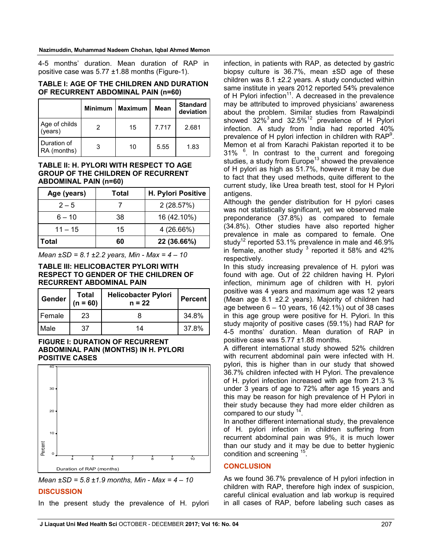#### **Nazimuddin, Muhammad Nadeem Chohan, Iqbal Ahmed Memon**

4-5 months' duration. Mean duration of RAP in positive case was 5.77 ±1.88 months (Figure-1).

#### **TABLE I: AGE OF THE CHILDREN AND DURATION OF RECURRENT ABDOMINAL PAIN (n=60)**

|                            | <b>Minimum</b> | <b>Maximum</b> | Mean  | <b>Standard</b><br>deviation |
|----------------------------|----------------|----------------|-------|------------------------------|
| Age of childs<br>(years)   |                | 15             | 7.717 | 2.681                        |
| Duration of<br>RA (months) |                | 10             | 5.55  | 1.83                         |

#### **TABLE II: H. PYLORI WITH RESPECT TO AGE GROUP OF THE CHILDREN OF RECURRENT ABDOMINAL PAIN (n=60)**

| Age (years) | Total | H. Pylori Positive |
|-------------|-------|--------------------|
| $2 - 5$     |       | 2(28.57%)          |
| $6 - 10$    | 38    | 16 (42.10%)        |
| $11 - 15$   | 15    | 4 (26.66%)         |
| Total       | 60    | 22 (36.66%)        |

*Mean ±SD = 8.1 ±2.2 years, Min - Max = 4 – 10*

## **TABLE III: HELICOBACTER PYLORI WITH RESPECT TO GENDER OF THE CHILDREN OF RECURRENT ABDOMINAL PAIN**

| Gender | <b>Total</b><br>$(n = 60)$ | <b>Helicobacter Pylori</b><br>$n = 22$ | <b>Percent</b> |
|--------|----------------------------|----------------------------------------|----------------|
| Female | 23                         |                                        | 34.8%          |
| Male   | 37                         | 14                                     | 37.8%          |

# **FIGURE I: DURATION OF RECURRENT ABDOMINAL PAIN (MONTHS) IN H. PYLORI POSITIVE CASES**



*Mean ±SD = 5.8 ±1.9 months, Min - Max = 4 – 10* **DISCUSSION**

In the present study the prevalence of H. pylori

infection, in patients with RAP, as detected by gastric biopsy culture is 36.7%, mean ±SD age of these children was 8.1 ±2.2 years. A study conducted within same institute in years 2012 reported 54% prevalence of H Pylori infection<sup>11</sup>. A decreased in the prevalence may be attributed to improved physicians' awareness about the problem. Similar studies from Rawalpindi showed  $32\%^3$  and  $32.5\%^{12}$  prevalence of H Pylori infection. A study from India had reported  $40\%$ prevalence of H pylori infection in children with RAP<sup>9</sup>. Memon et al from Karachi Pakistan reported it to be 31% <sup>6</sup>. In contrast to the current and foregoing studies, a study from Europe<sup>13</sup> showed the prevalence of H pylori as high as 51.7%, however it may be due to fact that they used methods, quite different to the current study, like Urea breath test, stool for H Pylori antigens.

Although the gender distribution for H pylori cases was not statistically significant, yet we observed male preponderance (37.8%) as compared to female (34.8%). Other studies have also reported higher prevalence in male as compared to female. One study<sup>12</sup> reported 53.1% prevalence in male and 46.9% in female, another study  $3$  reported it 58% and 42% respectively.

In this study increasing prevalence of H. pylori was found with age. Out of 22 children having H. Pylori infection, minimum age of children with H. pylori positive was 4 years and maximum age was 12 years (Mean age 8.1 ±2.2 years). Majority of children had age between  $6 - 10$  years, 16 (42.1%) out of 38 cases in this age group were positive for H. Pylori. In this study majority of positive cases (59.1%) had RAP for 4-5 months' duration. Mean duration of RAP in positive case was 5.77 ±1.88 months.

A different international study showed 52% children with recurrent abdominal pain were infected with H. pylori, this is higher than in our study that showed 36.7% children infected with H Pylori. The prevalence of H. pylori infection increased with age from 21.3 % under 3 years of age to 72% after age 15 years and this may be reason for high prevalence of H Pylori in their study because they had more elder children as compared to our study <sup>14</sup>.

In another different international study, the prevalence of H. pylori infection in children suffering from recurrent abdominal pain was 9%, it is much lower than our study and it may be due to better hygienic condition and screening <sup>15</sup>.

# **CONCLUSION**

As we found 36.7% prevalence of H pylori infection in children with RAP, therefore high index of suspicion, careful clinical evaluation and lab workup is required in all cases of RAP, before labeling such cases as